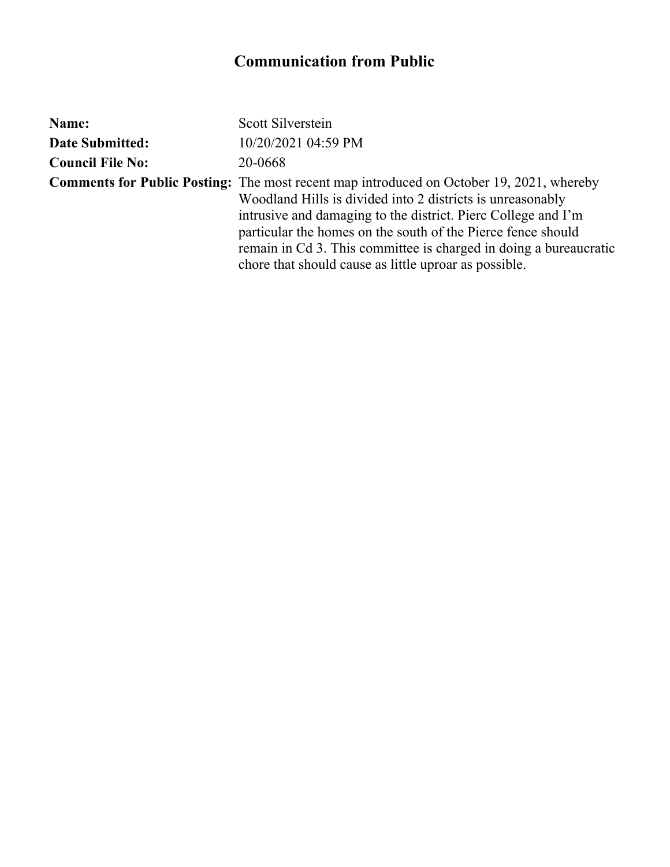| Name:                   | Scott Silverstein                                                                                                                                                                                                                                                                                                                                                                                                            |
|-------------------------|------------------------------------------------------------------------------------------------------------------------------------------------------------------------------------------------------------------------------------------------------------------------------------------------------------------------------------------------------------------------------------------------------------------------------|
| <b>Date Submitted:</b>  | 10/20/2021 04:59 PM                                                                                                                                                                                                                                                                                                                                                                                                          |
| <b>Council File No:</b> | 20-0668                                                                                                                                                                                                                                                                                                                                                                                                                      |
|                         | <b>Comments for Public Posting:</b> The most recent map introduced on October 19, 2021, whereby<br>Woodland Hills is divided into 2 districts is unreasonably<br>intrusive and damaging to the district. Pierc College and I'm<br>particular the homes on the south of the Pierce fence should<br>remain in Cd 3. This committee is charged in doing a bureaucratic<br>chore that should cause as little uproar as possible. |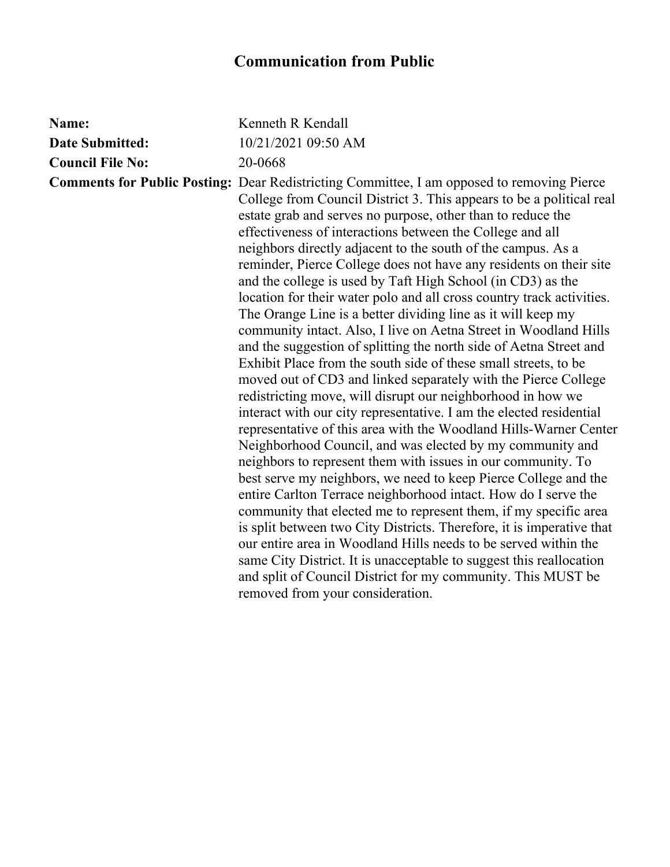| Name:                   | Kenneth R Kendall                                                                                                                                                                                                                                                                                                                                                                                                                                                                                                                                                                                                                                                                                                                                                                                                                                                                                                                                                                                                                                                                                                                                                                                                                                                                                                                                                                                                                                                                                                                                                                                                                                                                                                                                                                                          |
|-------------------------|------------------------------------------------------------------------------------------------------------------------------------------------------------------------------------------------------------------------------------------------------------------------------------------------------------------------------------------------------------------------------------------------------------------------------------------------------------------------------------------------------------------------------------------------------------------------------------------------------------------------------------------------------------------------------------------------------------------------------------------------------------------------------------------------------------------------------------------------------------------------------------------------------------------------------------------------------------------------------------------------------------------------------------------------------------------------------------------------------------------------------------------------------------------------------------------------------------------------------------------------------------------------------------------------------------------------------------------------------------------------------------------------------------------------------------------------------------------------------------------------------------------------------------------------------------------------------------------------------------------------------------------------------------------------------------------------------------------------------------------------------------------------------------------------------------|
| <b>Date Submitted:</b>  | 10/21/2021 09:50 AM                                                                                                                                                                                                                                                                                                                                                                                                                                                                                                                                                                                                                                                                                                                                                                                                                                                                                                                                                                                                                                                                                                                                                                                                                                                                                                                                                                                                                                                                                                                                                                                                                                                                                                                                                                                        |
| <b>Council File No:</b> | 20-0668                                                                                                                                                                                                                                                                                                                                                                                                                                                                                                                                                                                                                                                                                                                                                                                                                                                                                                                                                                                                                                                                                                                                                                                                                                                                                                                                                                                                                                                                                                                                                                                                                                                                                                                                                                                                    |
|                         | <b>Comments for Public Posting:</b> Dear Redistricting Committee, I am opposed to removing Pierce<br>College from Council District 3. This appears to be a political real<br>estate grab and serves no purpose, other than to reduce the<br>effectiveness of interactions between the College and all<br>neighbors directly adjacent to the south of the campus. As a<br>reminder, Pierce College does not have any residents on their site<br>and the college is used by Taft High School (in CD3) as the<br>location for their water polo and all cross country track activities.<br>The Orange Line is a better dividing line as it will keep my<br>community intact. Also, I live on Aetna Street in Woodland Hills<br>and the suggestion of splitting the north side of Aetna Street and<br>Exhibit Place from the south side of these small streets, to be<br>moved out of CD3 and linked separately with the Pierce College<br>redistricting move, will disrupt our neighborhood in how we<br>interact with our city representative. I am the elected residential<br>representative of this area with the Woodland Hills-Warner Center<br>Neighborhood Council, and was elected by my community and<br>neighbors to represent them with issues in our community. To<br>best serve my neighbors, we need to keep Pierce College and the<br>entire Carlton Terrace neighborhood intact. How do I serve the<br>community that elected me to represent them, if my specific area<br>is split between two City Districts. Therefore, it is imperative that<br>our entire area in Woodland Hills needs to be served within the<br>same City District. It is unacceptable to suggest this reallocation<br>and split of Council District for my community. This MUST be<br>removed from your consideration. |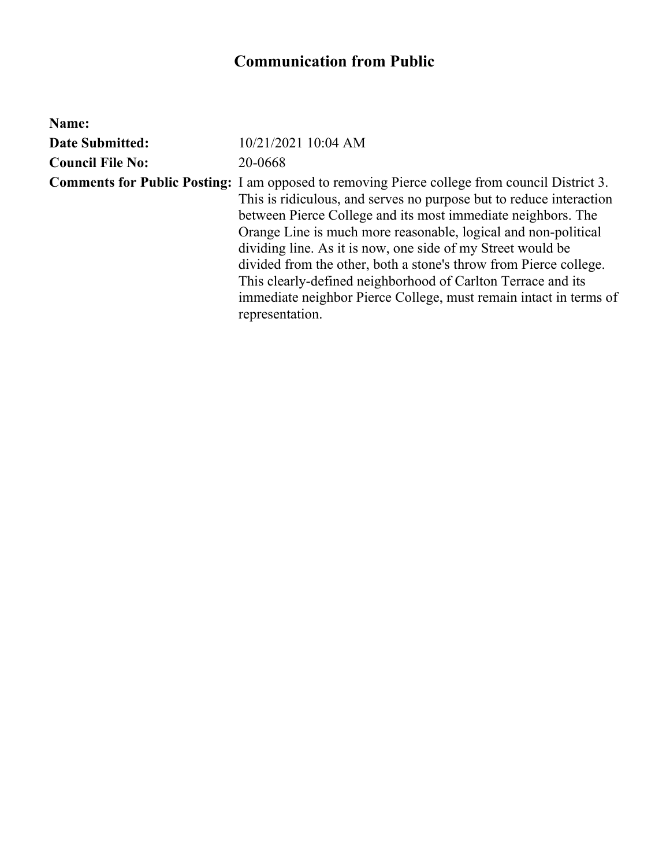| Name:                   |                                                                                                                                                                                                                                                                                                                                                                                                                                                                                                                                                                                                           |
|-------------------------|-----------------------------------------------------------------------------------------------------------------------------------------------------------------------------------------------------------------------------------------------------------------------------------------------------------------------------------------------------------------------------------------------------------------------------------------------------------------------------------------------------------------------------------------------------------------------------------------------------------|
| <b>Date Submitted:</b>  | 10/21/2021 10:04 AM                                                                                                                                                                                                                                                                                                                                                                                                                                                                                                                                                                                       |
| <b>Council File No:</b> | 20-0668                                                                                                                                                                                                                                                                                                                                                                                                                                                                                                                                                                                                   |
|                         | <b>Comments for Public Posting:</b> I am opposed to removing Pierce college from council District 3.<br>This is ridiculous, and serves no purpose but to reduce interaction<br>between Pierce College and its most immediate neighbors. The<br>Orange Line is much more reasonable, logical and non-political<br>dividing line. As it is now, one side of my Street would be<br>divided from the other, both a stone's throw from Pierce college.<br>This clearly-defined neighborhood of Carlton Terrace and its<br>immediate neighbor Pierce College, must remain intact in terms of<br>representation. |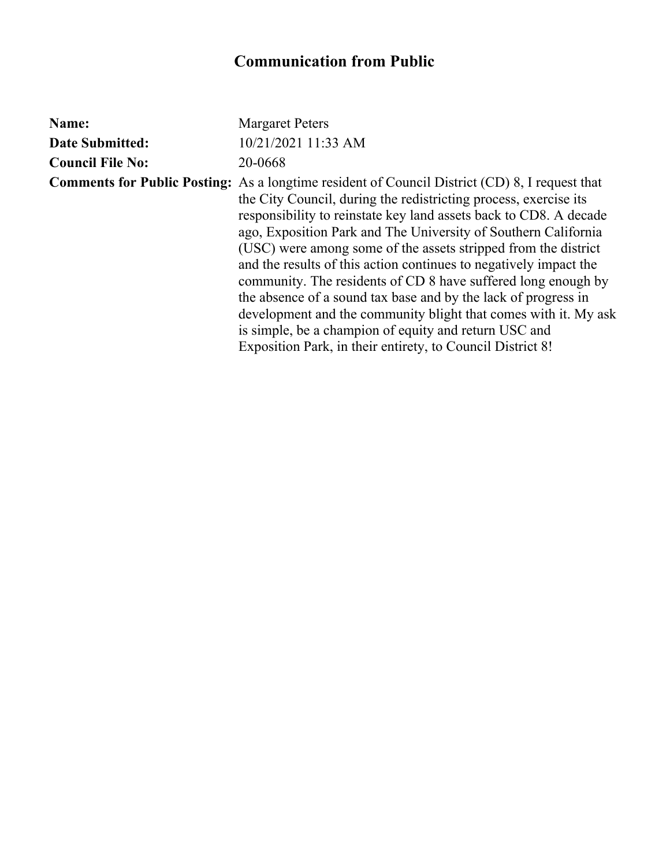| Name:                   | <b>Margaret Peters</b>                                                                                                                                                                                                                                                                                                                                                                                                                                                                                                                                                                                                                                                                                                                                                               |
|-------------------------|--------------------------------------------------------------------------------------------------------------------------------------------------------------------------------------------------------------------------------------------------------------------------------------------------------------------------------------------------------------------------------------------------------------------------------------------------------------------------------------------------------------------------------------------------------------------------------------------------------------------------------------------------------------------------------------------------------------------------------------------------------------------------------------|
| <b>Date Submitted:</b>  | 10/21/2021 11:33 AM                                                                                                                                                                                                                                                                                                                                                                                                                                                                                                                                                                                                                                                                                                                                                                  |
| <b>Council File No:</b> | 20-0668                                                                                                                                                                                                                                                                                                                                                                                                                                                                                                                                                                                                                                                                                                                                                                              |
|                         | <b>Comments for Public Posting:</b> As a longtime resident of Council District (CD) 8, I request that<br>the City Council, during the redistricting process, exercise its<br>responsibility to reinstate key land assets back to CD8. A decade<br>ago, Exposition Park and The University of Southern California<br>(USC) were among some of the assets stripped from the district<br>and the results of this action continues to negatively impact the<br>community. The residents of CD 8 have suffered long enough by<br>the absence of a sound tax base and by the lack of progress in<br>development and the community blight that comes with it. My ask<br>is simple, be a champion of equity and return USC and<br>Exposition Park, in their entirety, to Council District 8! |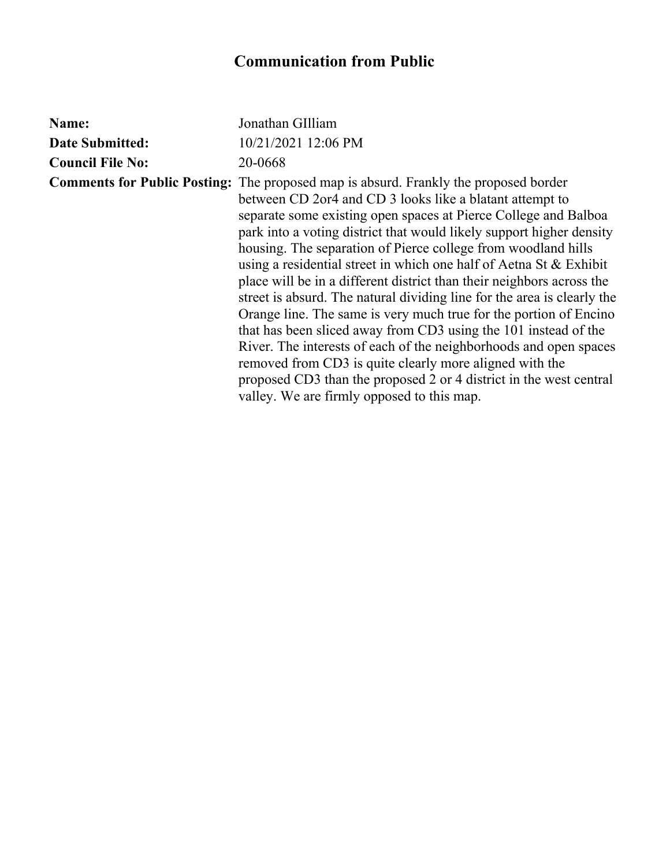| Name:                   | Jonathan GIlliam                                                                                                                                                                                                                                                                                                                                                                                                                                                                                                                                                                                                                                                                                                                                                                                                                                                                                                                                                                          |
|-------------------------|-------------------------------------------------------------------------------------------------------------------------------------------------------------------------------------------------------------------------------------------------------------------------------------------------------------------------------------------------------------------------------------------------------------------------------------------------------------------------------------------------------------------------------------------------------------------------------------------------------------------------------------------------------------------------------------------------------------------------------------------------------------------------------------------------------------------------------------------------------------------------------------------------------------------------------------------------------------------------------------------|
| <b>Date Submitted:</b>  | 10/21/2021 12:06 PM                                                                                                                                                                                                                                                                                                                                                                                                                                                                                                                                                                                                                                                                                                                                                                                                                                                                                                                                                                       |
| <b>Council File No:</b> | 20-0668                                                                                                                                                                                                                                                                                                                                                                                                                                                                                                                                                                                                                                                                                                                                                                                                                                                                                                                                                                                   |
|                         | <b>Comments for Public Posting:</b> The proposed map is absurd. Frankly the proposed border<br>between CD 2or4 and CD 3 looks like a blatant attempt to<br>separate some existing open spaces at Pierce College and Balboa<br>park into a voting district that would likely support higher density<br>housing. The separation of Pierce college from woodland hills<br>using a residential street in which one half of Aetna St & Exhibit<br>place will be in a different district than their neighbors across the<br>street is absurd. The natural dividing line for the area is clearly the<br>Orange line. The same is very much true for the portion of Encino<br>that has been sliced away from CD3 using the 101 instead of the<br>River. The interests of each of the neighborhoods and open spaces<br>removed from CD3 is quite clearly more aligned with the<br>proposed CD3 than the proposed 2 or 4 district in the west central<br>valley. We are firmly opposed to this map. |